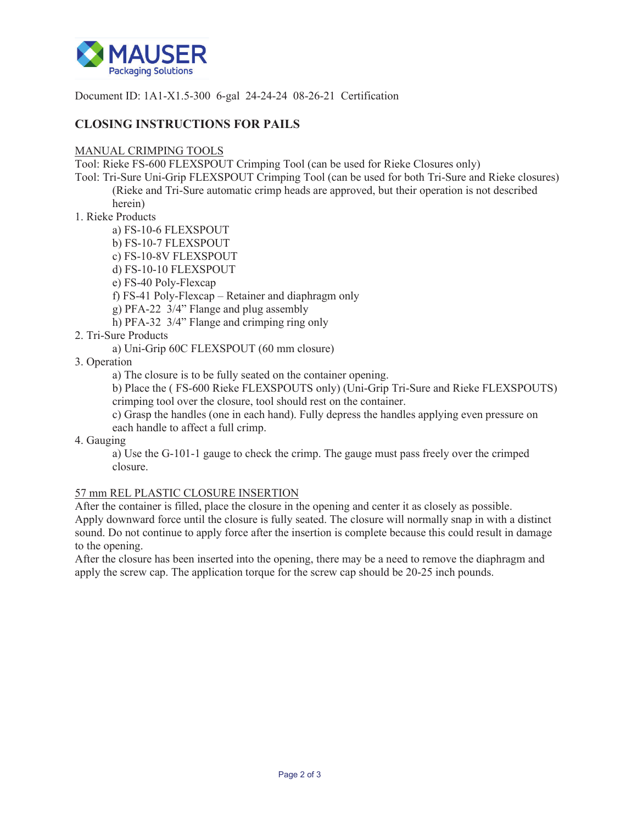

Document ID: 1A1-X1.5-300 6-gal 24-24-24 08-26-21 Certification

# **CLOSING INSTRUCTIONS FOR PAILS**

#### MANUAL CRIMPING TOOLS

Tool: Rieke FS-600 FLEXSPOUT Crimping Tool (can be used for Rieke Closures only)

Tool: Tri-Sure Uni-Grip FLEXSPOUT Crimping Tool (can be used for both Tri-Sure and Rieke closures) (Rieke and Tri-Sure automatic crimp heads are approved, but their operation is not described herein)

### 1. Rieke Products

a) FS-10-6 FLEXSPOUT

- b) FS-10-7 FLEXSPOUT
- c) FS-10-8V FLEXSPOUT
- d) FS-10-10 FLEXSPOUT
- e) FS-40 Poly-Flexcap
- f) FS-41 Poly-Flexcap Retainer and diaphragm only
- g) PFA-22 3/4" Flange and plug assembly
- h) PFA-32 3/4" Flange and crimping ring only
- 2. Tri-Sure Products
	- a) Uni-Grip 60C FLEXSPOUT (60 mm closure)
- 3. Operation

a) The closure is to be fully seated on the container opening.

b) Place the ( FS-600 Rieke FLEXSPOUTS only) (Uni-Grip Tri-Sure and Rieke FLEXSPOUTS) crimping tool over the closure, tool should rest on the container.

c) Grasp the handles (one in each hand). Fully depress the handles applying even pressure on each handle to affect a full crimp.

4. Gauging

a) Use the G-101-1 gauge to check the crimp. The gauge must pass freely over the crimped closure.

## 57 mm REL PLASTIC CLOSURE INSERTION

After the container is filled, place the closure in the opening and center it as closely as possible. Apply downward force until the closure is fully seated. The closure will normally snap in with a distinct sound. Do not continue to apply force after the insertion is complete because this could result in damage to the opening.

After the closure has been inserted into the opening, there may be a need to remove the diaphragm and apply the screw cap. The application torque for the screw cap should be 20-25 inch pounds.